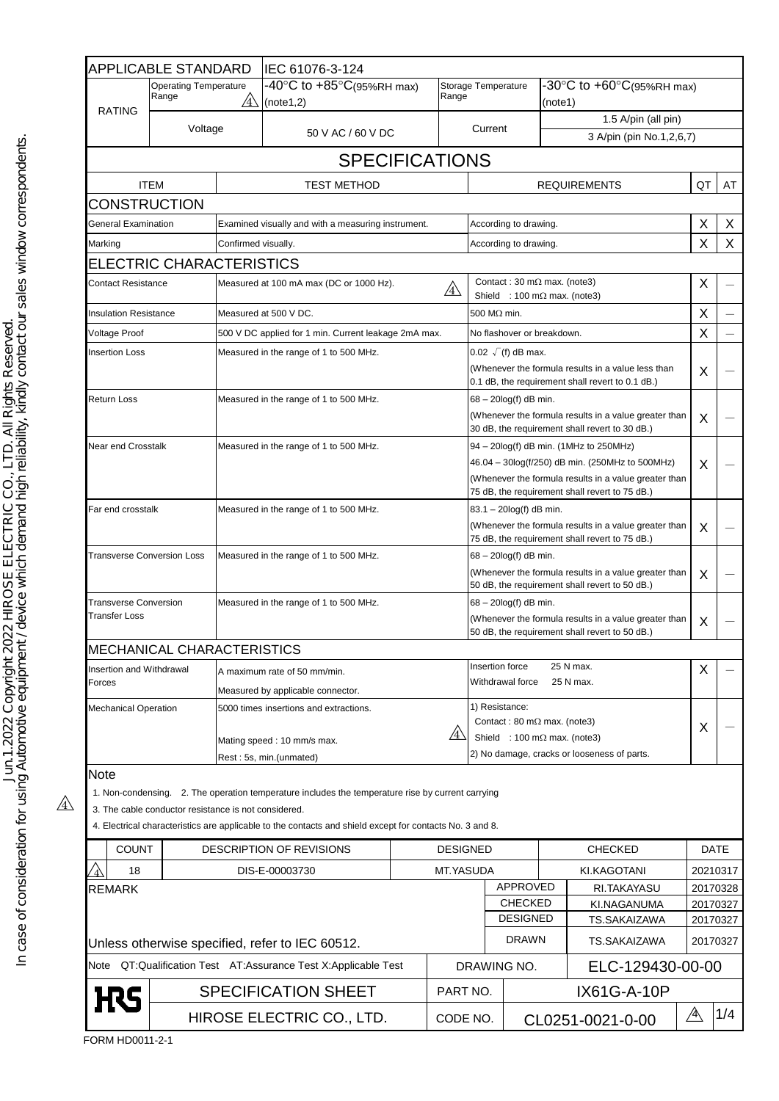|                                                                                                                   | APPLICABLE STANDARD                                  |                                                                                                             | IEC 61076-3-124                                                                                          |                 |                                                                                                                                                                                                      |                                                                             |                                                                                                                            |                          |                                    |                      |          |
|-------------------------------------------------------------------------------------------------------------------|------------------------------------------------------|-------------------------------------------------------------------------------------------------------------|----------------------------------------------------------------------------------------------------------|-----------------|------------------------------------------------------------------------------------------------------------------------------------------------------------------------------------------------------|-----------------------------------------------------------------------------|----------------------------------------------------------------------------------------------------------------------------|--------------------------|------------------------------------|----------------------|----------|
|                                                                                                                   | <b>Operating Temperature</b><br>Range<br>$\sqrt{4}$  |                                                                                                             | $-40^{\circ}$ C to $+85^{\circ}$ C(95%RH max)<br>Range<br>(note1,2)                                      |                 | Storage Temperature                                                                                                                                                                                  |                                                                             | -30°C to +60°C(95%RH max)<br>(note1)                                                                                       |                          |                                    |                      |          |
| <b>RATING</b>                                                                                                     | Voltage                                              |                                                                                                             |                                                                                                          |                 |                                                                                                                                                                                                      |                                                                             |                                                                                                                            | 1.5 A/pin (all pin)      |                                    |                      |          |
|                                                                                                                   |                                                      | 50 V AC / 60 V DC                                                                                           |                                                                                                          |                 | Current                                                                                                                                                                                              |                                                                             |                                                                                                                            | 3 A/pin (pin No.1,2,6,7) |                                    |                      |          |
|                                                                                                                   |                                                      |                                                                                                             | <b>SPECIFICATIONS</b>                                                                                    |                 |                                                                                                                                                                                                      |                                                                             |                                                                                                                            |                          |                                    |                      |          |
|                                                                                                                   | <b>ITEM</b>                                          |                                                                                                             | <b>TEST METHOD</b>                                                                                       |                 |                                                                                                                                                                                                      |                                                                             |                                                                                                                            |                          | <b>REQUIREMENTS</b>                | QT                   | AT       |
| <b>CONSTRUCTION</b>                                                                                               |                                                      |                                                                                                             |                                                                                                          |                 |                                                                                                                                                                                                      |                                                                             |                                                                                                                            |                          |                                    |                      |          |
| General Examination                                                                                               |                                                      | Examined visually and with a measuring instrument.                                                          |                                                                                                          |                 |                                                                                                                                                                                                      | According to drawing.                                                       |                                                                                                                            |                          |                                    | X                    | X        |
| Marking                                                                                                           |                                                      | Confirmed visually.                                                                                         |                                                                                                          |                 | According to drawing.                                                                                                                                                                                |                                                                             |                                                                                                                            |                          | X                                  | X                    |          |
|                                                                                                                   | ELECTRIC CHARACTERISTICS                             |                                                                                                             |                                                                                                          |                 |                                                                                                                                                                                                      |                                                                             |                                                                                                                            |                          |                                    |                      |          |
| <b>Contact Resistance</b>                                                                                         |                                                      | Measured at 100 mA max (DC or 1000 Hz).<br>$\sqrt{4}$                                                       |                                                                                                          |                 |                                                                                                                                                                                                      | Contact: 30 m $\Omega$ max. (note3)<br>Shield : 100 m $\Omega$ max. (note3) |                                                                                                                            |                          |                                    | X                    |          |
|                                                                                                                   | <b>Insulation Resistance</b>                         |                                                                                                             | Measured at 500 V DC.                                                                                    |                 |                                                                                                                                                                                                      | 500 M $\Omega$ min.                                                         |                                                                                                                            |                          |                                    | X                    |          |
| Voltage Proof                                                                                                     |                                                      | 500 V DC applied for 1 min. Current leakage 2mA max.                                                        |                                                                                                          |                 |                                                                                                                                                                                                      | No flashover or breakdown.                                                  |                                                                                                                            |                          | X                                  |                      |          |
| <b>Insertion Loss</b>                                                                                             |                                                      | Measured in the range of 1 to 500 MHz.                                                                      |                                                                                                          |                 | $0.02 \sqrt{f}$ (f) dB max.<br>(Whenever the formula results in a value less than<br>0.1 dB, the requirement shall revert to 0.1 dB.)                                                                |                                                                             |                                                                                                                            |                          | X                                  |                      |          |
| Return Loss                                                                                                       |                                                      | Measured in the range of 1 to 500 MHz.                                                                      |                                                                                                          |                 | $68 - 20\log(f)$ dB min.<br>(Whenever the formula results in a value greater than<br>30 dB, the requirement shall revert to 30 dB.)                                                                  |                                                                             |                                                                                                                            | X                        |                                    |                      |          |
| Near end Crosstalk                                                                                                |                                                      | Measured in the range of 1 to 500 MHz.                                                                      |                                                                                                          |                 | 94 - 20log(f) dB min. (1MHz to 250MHz)<br>46.04 - 30log(f/250) dB min. (250MHz to 500MHz)<br>(Whenever the formula results in a value greater than<br>75 dB, the requirement shall revert to 75 dB.) |                                                                             |                                                                                                                            | X                        |                                    |                      |          |
| Far end crosstalk                                                                                                 |                                                      | Measured in the range of 1 to 500 MHz.                                                                      |                                                                                                          |                 | 83.1 - 20log(f) dB min.<br>(Whenever the formula results in a value greater than<br>75 dB, the requirement shall revert to 75 dB.)                                                                   |                                                                             |                                                                                                                            | X                        |                                    |                      |          |
| <b>Transverse Conversion Loss</b>                                                                                 |                                                      | Measured in the range of 1 to 500 MHz.                                                                      |                                                                                                          |                 | $68 - 20\log(f)$ dB min.<br>(Whenever the formula results in a value greater than<br>50 dB, the requirement shall revert to 50 dB.)                                                                  |                                                                             |                                                                                                                            | X                        |                                    |                      |          |
| <b>Transverse Conversion</b><br><b>Transfer Loss</b>                                                              |                                                      | Measured in the range of 1 to 500 MHz.                                                                      |                                                                                                          |                 | 68 - 20log(f) dB min.<br>(Whenever the formula results in a value greater than<br>50 dB, the requirement shall revert to 50 dB.)                                                                     |                                                                             |                                                                                                                            |                          | X                                  |                      |          |
|                                                                                                                   | <b>MECHANICAL CHARACTERISTICS</b>                    |                                                                                                             |                                                                                                          |                 |                                                                                                                                                                                                      |                                                                             |                                                                                                                            |                          |                                    |                      |          |
| Insertion and Withdrawal<br>Forces<br><b>Mechanical Operation</b>                                                 |                                                      | A maximum rate of 50 mm/min.<br>Measured by applicable connector.<br>5000 times insertions and extractions. |                                                                                                          |                 | Insertion force<br>25 N max.<br>Withdrawal force<br>25 N max.                                                                                                                                        |                                                                             |                                                                                                                            |                          | X                                  |                      |          |
|                                                                                                                   |                                                      |                                                                                                             |                                                                                                          |                 | 1) Resistance:                                                                                                                                                                                       |                                                                             |                                                                                                                            |                          |                                    |                      |          |
|                                                                                                                   |                                                      |                                                                                                             | /4\<br>Mating speed: 10 mm/s max.<br>Rest: 5s, min.(unmated)                                             |                 |                                                                                                                                                                                                      |                                                                             | Contact: 80 m $\Omega$ max. (note3)<br>Shield : 100 m $\Omega$ max. (note3)<br>2) No damage, cracks or looseness of parts. |                          |                                    | X                    |          |
| Note                                                                                                              |                                                      |                                                                                                             |                                                                                                          |                 |                                                                                                                                                                                                      |                                                                             |                                                                                                                            |                          |                                    |                      |          |
|                                                                                                                   | 3. The cable conductor resistance is not considered. |                                                                                                             | 1. Non-condensing. 2. The operation temperature includes the temperature rise by current carrying        |                 |                                                                                                                                                                                                      |                                                                             |                                                                                                                            |                          |                                    |                      |          |
|                                                                                                                   |                                                      |                                                                                                             | 4. Electrical characteristics are applicable to the contacts and shield except for contacts No. 3 and 8. |                 |                                                                                                                                                                                                      |                                                                             |                                                                                                                            |                          |                                    |                      |          |
| <b>COUNT</b>                                                                                                      |                                                      | DESCRIPTION OF REVISIONS                                                                                    |                                                                                                          | <b>DESIGNED</b> |                                                                                                                                                                                                      |                                                                             |                                                                                                                            | <b>CHECKED</b>           | <b>DATE</b>                        |                      |          |
| 18                                                                                                                |                                                      |                                                                                                             | DIS-E-00003730<br>MT.YASUDA                                                                              |                 |                                                                                                                                                                                                      |                                                                             | KI.KAGOTANI                                                                                                                |                          | 20210317                           |                      |          |
| <b>REMARK</b>                                                                                                     |                                                      |                                                                                                             |                                                                                                          |                 |                                                                                                                                                                                                      |                                                                             | APPROVED<br><b>CHECKED</b><br><b>DESIGNED</b>                                                                              |                          | RI.TAKAYASU                        |                      | 20170328 |
|                                                                                                                   |                                                      |                                                                                                             |                                                                                                          |                 |                                                                                                                                                                                                      |                                                                             |                                                                                                                            |                          | KI.NAGANUMA<br><b>TS.SAKAIZAWA</b> |                      | 20170327 |
|                                                                                                                   |                                                      |                                                                                                             |                                                                                                          |                 |                                                                                                                                                                                                      | <b>DRAWN</b>                                                                |                                                                                                                            | TS.SAKAIZAWA             |                                    | 20170327<br>20170327 |          |
| Unless otherwise specified, refer to IEC 60512.<br>Note QT:Qualification Test AT:Assurance Test X:Applicable Test |                                                      |                                                                                                             |                                                                                                          |                 | DRAWING NO.                                                                                                                                                                                          |                                                                             |                                                                                                                            |                          |                                    |                      |          |
| <b>SPECIFICATION SHEET</b>                                                                                        |                                                      |                                                                                                             |                                                                                                          |                 | ELC-129430-00-00<br>IX61G-A-10P<br>PART NO.                                                                                                                                                          |                                                                             |                                                                                                                            |                          |                                    |                      |          |
|                                                                                                                   |                                                      |                                                                                                             | HIROSE ELECTRIC CO., LTD.                                                                                |                 |                                                                                                                                                                                                      | CODE NO.                                                                    |                                                                                                                            |                          | CL0251-0021-0-00                   | $\mathbb{A}$         | 1/4      |
|                                                                                                                   |                                                      |                                                                                                             |                                                                                                          |                 |                                                                                                                                                                                                      |                                                                             |                                                                                                                            |                          |                                    |                      |          |

FORM HD0011-2-1

 $\mathbb{A}$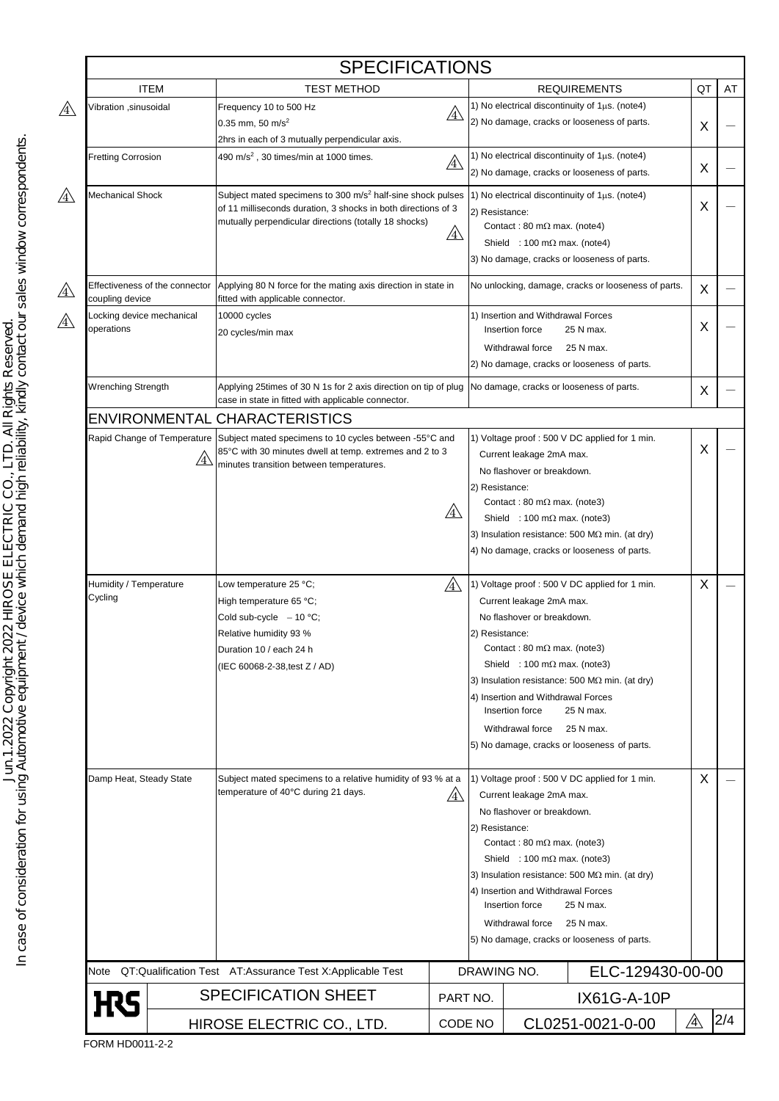|                                                              |                                           | <b>SPECIFICATIONS</b>                                                                                                                                                                            |              |                                                                                                                                                                                                                                                                                                                                                                                                                          |                                                                                                                                       |                                                                                                                                                        |    |     |
|--------------------------------------------------------------|-------------------------------------------|--------------------------------------------------------------------------------------------------------------------------------------------------------------------------------------------------|--------------|--------------------------------------------------------------------------------------------------------------------------------------------------------------------------------------------------------------------------------------------------------------------------------------------------------------------------------------------------------------------------------------------------------------------------|---------------------------------------------------------------------------------------------------------------------------------------|--------------------------------------------------------------------------------------------------------------------------------------------------------|----|-----|
|                                                              | <b>ITEM</b>                               | <b>TEST METHOD</b>                                                                                                                                                                               |              |                                                                                                                                                                                                                                                                                                                                                                                                                          |                                                                                                                                       | <b>REQUIREMENTS</b>                                                                                                                                    | QT | AT  |
| Vibration ,sinusoidal                                        |                                           | Frequency 10 to 500 Hz<br>$0.35$ mm, 50 m/s <sup>2</sup>                                                                                                                                         | $\mathbb{A}$ |                                                                                                                                                                                                                                                                                                                                                                                                                          |                                                                                                                                       | 1) No electrical discontinuity of $1\mu s$ . (note4)<br>2) No damage, cracks or looseness of parts.                                                    | X  |     |
|                                                              |                                           | 2hrs in each of 3 mutually perpendicular axis.                                                                                                                                                   |              |                                                                                                                                                                                                                                                                                                                                                                                                                          |                                                                                                                                       |                                                                                                                                                        |    |     |
| <b>Fretting Corrosion</b>                                    |                                           | 490 m/s <sup>2</sup> , 30 times/min at 1000 times.                                                                                                                                               |              |                                                                                                                                                                                                                                                                                                                                                                                                                          |                                                                                                                                       | 1) No electrical discontinuity of $1\mu s$ . (note4)                                                                                                   |    |     |
|                                                              |                                           | $\mathbb{A}$                                                                                                                                                                                     |              |                                                                                                                                                                                                                                                                                                                                                                                                                          | 2) No damage, cracks or looseness of parts.                                                                                           |                                                                                                                                                        | X  |     |
| Mechanical Shock                                             |                                           | Subject mated specimens to 300 m/s <sup>2</sup> half-sine shock pulses<br>of 11 milliseconds duration, 3 shocks in both directions of 3<br>mutually perpendicular directions (totally 18 shocks) | <u>/4\</u>   | 2) Resistance:                                                                                                                                                                                                                                                                                                                                                                                                           | Contact: 80 m $\Omega$ max. (note4)<br>Shield : 100 m $\Omega$ max. (note4)                                                           | 1) No electrical discontinuity of $1\mu s$ . (note4)<br>3) No damage, cracks or looseness of parts.                                                    | Χ  |     |
| Effectiveness of the connector<br>coupling device            |                                           | Applying 80 N force for the mating axis direction in state in<br>fitted with applicable connector.                                                                                               |              |                                                                                                                                                                                                                                                                                                                                                                                                                          | No unlocking, damage, cracks or looseness of parts.                                                                                   |                                                                                                                                                        |    |     |
| Locking device mechanical<br>operations                      |                                           | 10000 cycles<br>20 cycles/min max                                                                                                                                                                |              |                                                                                                                                                                                                                                                                                                                                                                                                                          | 1) Insertion and Withdrawal Forces<br>Insertion force<br>Withdrawal force                                                             | 25 N max.<br>25 N max.<br>2) No damage, cracks or looseness of parts.                                                                                  | Χ  |     |
| <b>Wrenching Strength</b>                                    |                                           | Applying 25times of 30 N 1s for 2 axis direction on tip of plug<br>case in state in fitted with applicable connector.                                                                            |              |                                                                                                                                                                                                                                                                                                                                                                                                                          |                                                                                                                                       | No damage, cracks or looseness of parts.                                                                                                               | Х  |     |
|                                                              |                                           | ENVIRONMENTAL CHARACTERISTICS                                                                                                                                                                    |              |                                                                                                                                                                                                                                                                                                                                                                                                                          |                                                                                                                                       |                                                                                                                                                        |    |     |
|                                                              | Rapid Change of Temperature<br>$\angle 4$ | Subject mated specimens to 10 cycles between -55°C and<br>85°C with 30 minutes dwell at temp. extremes and 2 to 3<br>minutes transition between temperatures.                                    | $\mathbb{A}$ | 2) Resistance:                                                                                                                                                                                                                                                                                                                                                                                                           | Current leakage 2mA max.<br>No flashover or breakdown.<br>Contact: 80 m $\Omega$ max. (note3)<br>Shield : 100 m $\Omega$ max. (note3) | 1) Voltage proof: 500 V DC applied for 1 min.<br>3) Insulation resistance: 500 M $\Omega$ min. (at dry)<br>4) No damage, cracks or looseness of parts. | X  |     |
| Humidity / Temperature<br>Cycling<br>Damp Heat, Steady State |                                           | Low temperature 25 °C;<br>High temperature 65 °C;<br>Cold sub-cycle $-10$ °C;<br>Relative humidity 93 %<br>Duration 10 / each 24 h<br>(IEC 60068-2-38, test Z / AD)                              | /4           | 1) Voltage proof: 500 V DC applied for 1 min.<br>Current leakage 2mA max.<br>No flashover or breakdown.<br>2) Resistance:<br>Contact: 80 m $\Omega$ max. (note3)<br>Shield : 100 m $\Omega$ max. (note3)<br>3) Insulation resistance: 500 M $\Omega$ min. (at dry)<br>4) Insertion and Withdrawal Forces<br>Insertion force<br>25 N max.<br>Withdrawal force<br>25 N max.<br>5) No damage, cracks or looseness of parts. |                                                                                                                                       |                                                                                                                                                        | Χ  |     |
|                                                              |                                           | Subject mated specimens to a relative humidity of 93 % at a<br>temperature of 40°C during 21 days.<br>/4                                                                                         |              | 1) Voltage proof: 500 V DC applied for 1 min.<br>Current leakage 2mA max.<br>No flashover or breakdown.<br>2) Resistance:<br>Contact: 80 m $\Omega$ max. (note3)<br>Shield : 100 m $\Omega$ max. (note3)<br>3) Insulation resistance: 500 M $\Omega$ min. (at dry)<br>4) Insertion and Withdrawal Forces<br>25 N max.<br>Insertion force<br>25 N max.<br>Withdrawal force<br>5) No damage, cracks or looseness of parts. |                                                                                                                                       |                                                                                                                                                        | X  |     |
| Note                                                         |                                           | QT:Qualification Test AT:Assurance Test X:Applicable Test                                                                                                                                        |              | DRAWING NO.                                                                                                                                                                                                                                                                                                                                                                                                              |                                                                                                                                       | ELC-129430-00-00                                                                                                                                       |    |     |
| <b>H</b> S                                                   |                                           | <b>SPECIFICATION SHEET</b>                                                                                                                                                                       |              | IX61G-A-10P<br>PART NO.                                                                                                                                                                                                                                                                                                                                                                                                  |                                                                                                                                       |                                                                                                                                                        |    |     |
|                                                              | HIROSE ELECTRIC CO., LTD.                 |                                                                                                                                                                                                  |              | CL0251-0021-0-00<br>CODE NO                                                                                                                                                                                                                                                                                                                                                                                              |                                                                                                                                       |                                                                                                                                                        | ⚠  | 2/4 |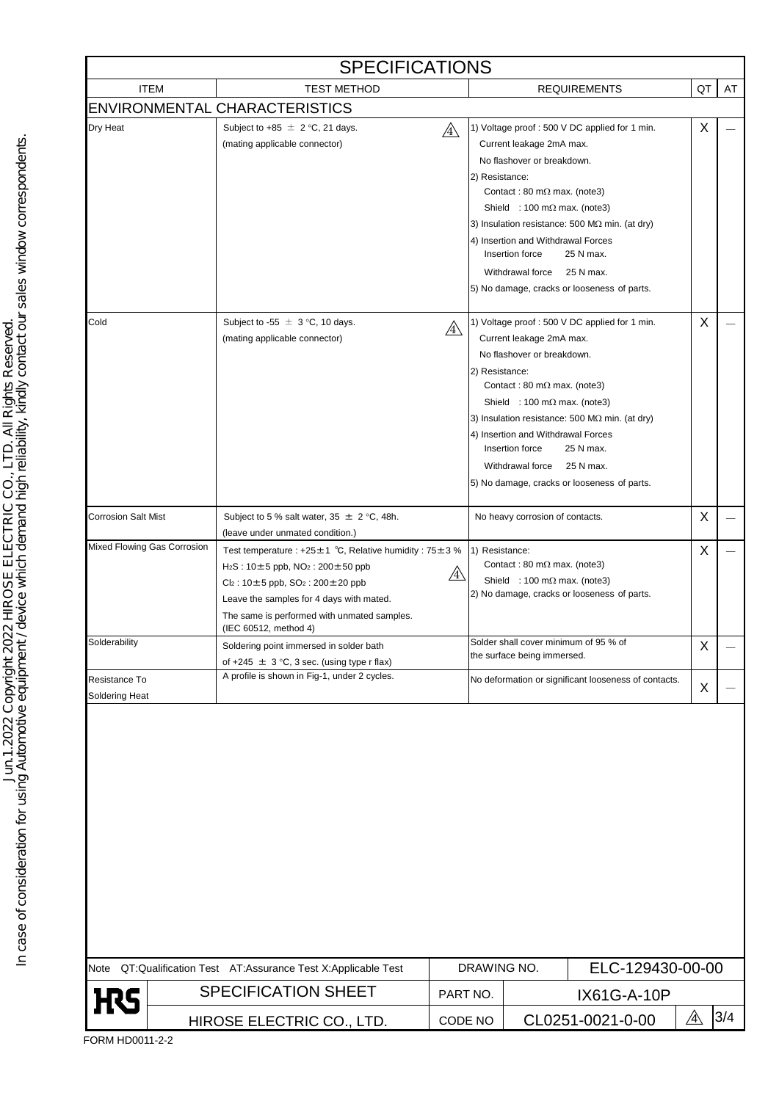| <b>SPECIFICATIONS</b>           |                           |                                                                                                                                                                                                                                                                                            |              |                                                       |                                                                                                                                                                                                                                                                                                                                                                  |                  |     |  |  |  |  |
|---------------------------------|---------------------------|--------------------------------------------------------------------------------------------------------------------------------------------------------------------------------------------------------------------------------------------------------------------------------------------|--------------|-------------------------------------------------------|------------------------------------------------------------------------------------------------------------------------------------------------------------------------------------------------------------------------------------------------------------------------------------------------------------------------------------------------------------------|------------------|-----|--|--|--|--|
| <b>ITEM</b>                     |                           | <b>TEST METHOD</b>                                                                                                                                                                                                                                                                         |              |                                                       | <b>REQUIREMENTS</b>                                                                                                                                                                                                                                                                                                                                              | QT               | AT  |  |  |  |  |
|                                 |                           | <b>ENVIRONMENTAL CHARACTERISTICS</b>                                                                                                                                                                                                                                                       |              |                                                       |                                                                                                                                                                                                                                                                                                                                                                  |                  |     |  |  |  |  |
| Dry Heat                        |                           | Subject to +85 $\pm$ 2 °C, 21 days.<br>(mating applicable connector)                                                                                                                                                                                                                       | $\mathbb{A}$ | 2) Resistance:<br>Insertion force<br>Withdrawal force | 1) Voltage proof : 500 V DC applied for 1 min.<br>Current leakage 2mA max.<br>No flashover or breakdown.<br>Contact: 80 m $\Omega$ max. (note3)<br>Shield : 100 m $\Omega$ max. (note3)<br>3) Insulation resistance: 500 M $\Omega$ min. (at dry)<br>4) Insertion and Withdrawal Forces<br>25 N max.<br>25 N max.<br>5) No damage, cracks or looseness of parts. | X                |     |  |  |  |  |
| Cold                            |                           | Subject to -55 $\pm$ 3 °C, 10 days.<br>(mating applicable connector)                                                                                                                                                                                                                       | /4           | 2) Resistance:<br>Insertion force<br>Withdrawal force | 1) Voltage proof: 500 V DC applied for 1 min.<br>Current leakage 2mA max.<br>No flashover or breakdown.<br>Contact: 80 m $\Omega$ max. (note3)<br>Shield : 100 m $\Omega$ max. (note3)<br>3) Insulation resistance: 500 M $\Omega$ min. (at dry)<br>4) Insertion and Withdrawal Forces<br>25 N max.<br>25 N max.<br>5) No damage, cracks or looseness of parts.  | X                |     |  |  |  |  |
| <b>Corrosion Salt Mist</b>      |                           | Subject to 5 % salt water, $35 \pm 2$ °C, 48h.<br>(leave under unmated condition.)                                                                                                                                                                                                         |              |                                                       | No heavy corrosion of contacts.                                                                                                                                                                                                                                                                                                                                  | X                |     |  |  |  |  |
| Mixed Flowing Gas Corrosion     |                           | Test temperature : +25 $\pm$ 1 °C, Relative humidity : 75 $\pm$ 3 %<br>$H_2S: 10 \pm 5$ ppb, $NO_2: 200 \pm 50$ ppb<br>$Cl_2$ : 10±5 ppb, SO <sub>2</sub> : 200±20 ppb<br>Leave the samples for 4 days with mated.<br>The same is performed with unmated samples.<br>(IEC 60512, method 4) | /4\          | 1) Resistance:                                        | Contact: 80 m $\Omega$ max. (note3)<br>Shield : 100 m $\Omega$ max. (note3)<br>2) No damage, cracks or looseness of parts.                                                                                                                                                                                                                                       | X                |     |  |  |  |  |
| Solderability                   |                           | Soldering point immersed in solder bath<br>of +245 $\pm$ 3 °C, 3 sec. (using type r flax)                                                                                                                                                                                                  |              | the surface being immersed.                           | Solder shall cover minimum of 95 % of                                                                                                                                                                                                                                                                                                                            | X                |     |  |  |  |  |
| Resistance To<br>Soldering Heat |                           | A profile is shown in Fig-1, under 2 cycles.                                                                                                                                                                                                                                               |              |                                                       | No deformation or significant looseness of contacts.                                                                                                                                                                                                                                                                                                             | X                |     |  |  |  |  |
|                                 |                           |                                                                                                                                                                                                                                                                                            |              |                                                       |                                                                                                                                                                                                                                                                                                                                                                  |                  |     |  |  |  |  |
|                                 |                           | Note QT:Qualification Test AT:Assurance Test X:Applicable Test                                                                                                                                                                                                                             |              | DRAWING NO.                                           |                                                                                                                                                                                                                                                                                                                                                                  | ELC-129430-00-00 |     |  |  |  |  |
| <b>H</b> S                      |                           | <b>SPECIFICATION SHEET</b>                                                                                                                                                                                                                                                                 | PART NO.     |                                                       | IX61G-A-10P                                                                                                                                                                                                                                                                                                                                                      |                  |     |  |  |  |  |
|                                 | HIROSE ELECTRIC CO., LTD. |                                                                                                                                                                                                                                                                                            |              | CODE NO                                               | CL0251-0021-0-00                                                                                                                                                                                                                                                                                                                                                 | $\mathbb{A}$     | 3/4 |  |  |  |  |

In case of consideration for using Automotive equipment / device which demand high reliability, kindly contact our sales window correspondents.<br>In case of consideration for using Automotive equipment / device which demand In case of consideration for using Automotive equipment / device which demand high reliability, kindly contact our sales window correspondents.Jun.1.2022 Copyright 2022 HIROSE ELECTRIC CO., LTD. All Rights Reserved.